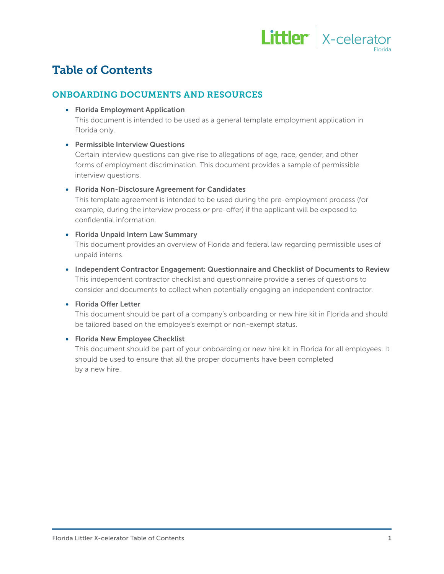

# Table of Contents

# ONBOARDING DOCUMENTS AND RESOURCES

### • Florida Employment Application

This document is intended to be used as a general template employment application in Florida only.

# • Permissible Interview Questions

Certain interview questions can give rise to allegations of age, race, gender, and other forms of employment discrimination. This document provides a sample of permissible interview questions.

# • Florida Non-Disclosure Agreement for Candidates

This template agreement is intended to be used during the pre-employment process (for example, during the interview process or pre-offer) if the applicant will be exposed to confidential information.

# • Florida Unpaid Intern Law Summary

This document provides an overview of Florida and federal law regarding permissible uses of unpaid interns.

• Independent Contractor Engagement: Questionnaire and Checklist of Documents to Review This independent contractor checklist and questionnaire provide a series of questions to consider and documents to collect when potentially engaging an independent contractor.

# • Florida Offer Letter

This document should be part of a company's onboarding or new hire kit in Florida and should be tailored based on the employee's exempt or non-exempt status.

# • Florida New Employee Checklist

This document should be part of your onboarding or new hire kit in Florida for all employees. It should be used to ensure that all the proper documents have been completed by a new hire.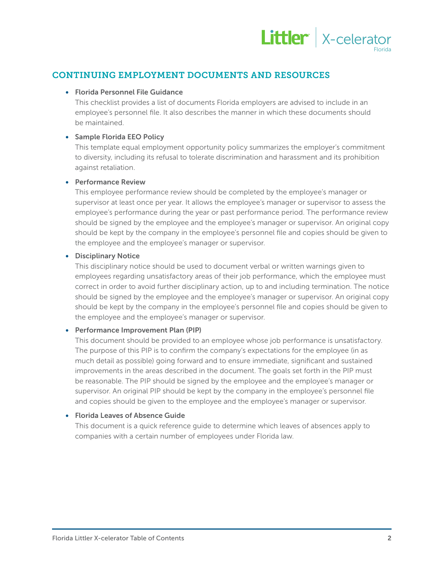

# CONTINUING EMPLOYMENT DOCUMENTS AND RESOURCES

### • Florida Personnel File Guidance

This checklist provides a list of documents Florida employers are advised to include in an employee's personnel file. It also describes the manner in which these documents should be maintained.

#### • Sample Florida EEO Policy

This template equal employment opportunity policy summarizes the employer's commitment to diversity, including its refusal to tolerate discrimination and harassment and its prohibition against retaliation.

#### • Performance Review

This employee performance review should be completed by the employee's manager or supervisor at least once per year. It allows the employee's manager or supervisor to assess the employee's performance during the year or past performance period. The performance review should be signed by the employee and the employee's manager or supervisor. An original copy should be kept by the company in the employee's personnel file and copies should be given to the employee and the employee's manager or supervisor.

#### • Disciplinary Notice

This disciplinary notice should be used to document verbal or written warnings given to employees regarding unsatisfactory areas of their job performance, which the employee must correct in order to avoid further disciplinary action, up to and including termination. The notice should be signed by the employee and the employee's manager or supervisor. An original copy should be kept by the company in the employee's personnel file and copies should be given to the employee and the employee's manager or supervisor.

# • Performance Improvement Plan (PIP)

This document should be provided to an employee whose job performance is unsatisfactory. The purpose of this PIP is to confirm the company's expectations for the employee (in as much detail as possible) going forward and to ensure immediate, significant and sustained improvements in the areas described in the document. The goals set forth in the PIP must be reasonable. The PIP should be signed by the employee and the employee's manager or supervisor. An original PIP should be kept by the company in the employee's personnel file and copies should be given to the employee and the employee's manager or supervisor.

# • Florida Leaves of Absence Guide

This document is a quick reference guide to determine which leaves of absences apply to companies with a certain number of employees under Florida law.